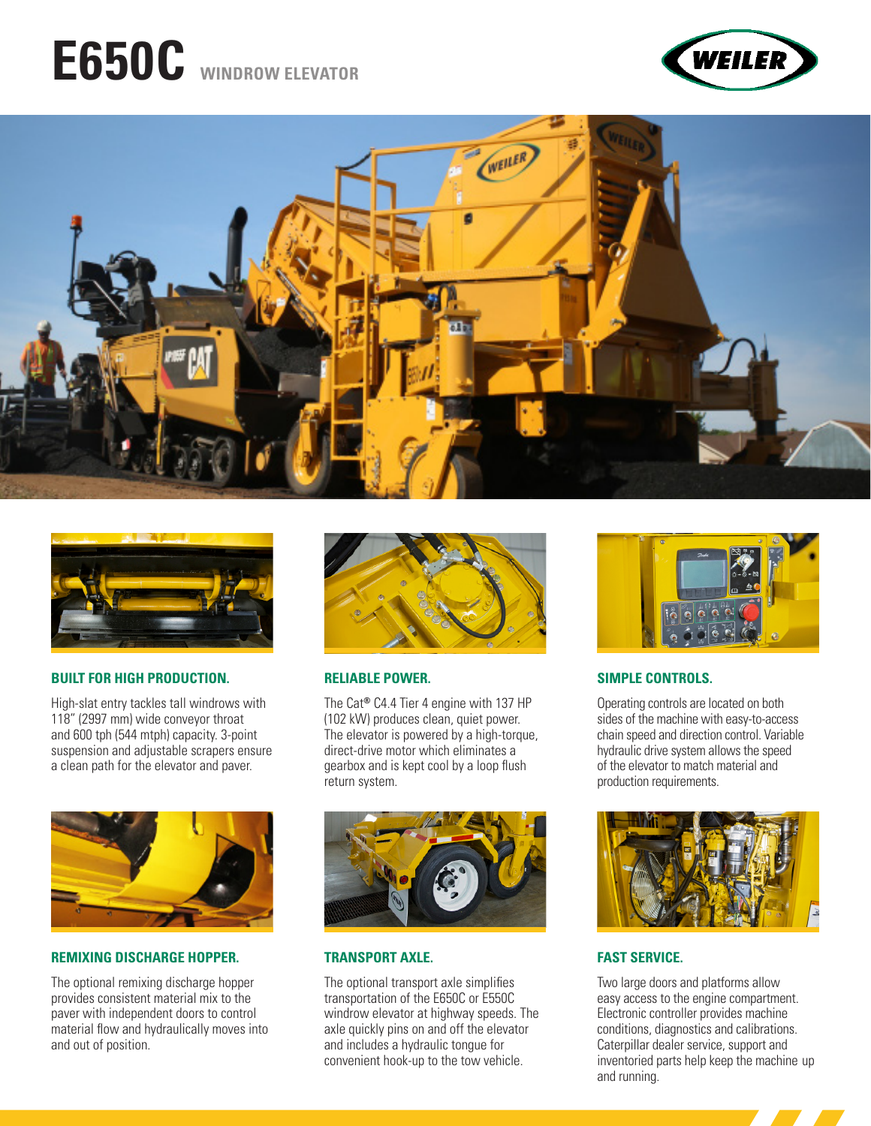# **E650C WINDROW ELEVATOR**







#### **BUILT FOR HIGH PRODUCTION.**

High-slat entry tackles tall windrows with 118" (2997 mm) wide conveyor throat and 600 tph (544 mtph) capacity. 3-point suspension and adjustable scrapers ensure a clean path for the elevator and paver.



#### **REMIXING DISCHARGE HOPPER.**

The optional remixing discharge hopper provides consistent material mix to the paver with independent doors to control material flow and hydraulically moves into and out of position.



#### **RELIABLE POWER.**

The Cat**®** C4.4 Tier 4 engine with 137 HP (102 kW) produces clean, quiet power. The elevator is powered by a high-torque, direct-drive motor which eliminates a gearbox and is kept cool by a loop flush return system.



#### **TRANSPORT AXLE.**

The optional transport axle simplifies transportation of the E650C or E550C windrow elevator at highway speeds. The axle quickly pins on and off the elevator and includes a hydraulic tongue for convenient hook-up to the tow vehicle.



#### **SIMPLE CONTROLS.**

Operating controls are located on both sides of the machine with easy-to-access chain speed and direction control. Variable hydraulic drive system allows the speed of the elevator to match material and production requirements.



#### **FAST SERVICE.**

Two large doors and platforms allow easy access to the engine compartment. Electronic controller provides machine conditions, diagnostics and calibrations. Caterpillar dealer service, support and inventoried parts help keep the machine up and running.